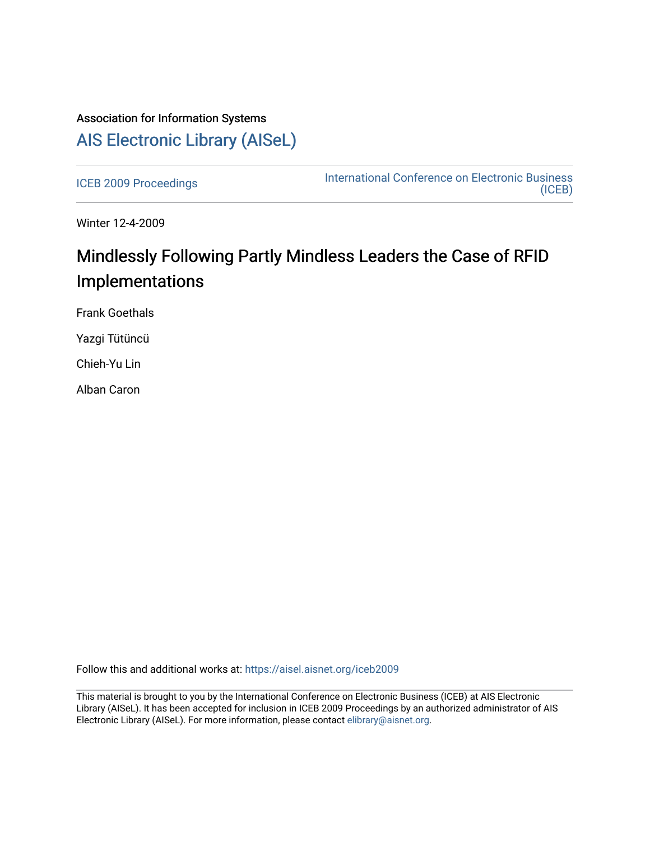## Association for Information Systems [AIS Electronic Library \(AISeL\)](https://aisel.aisnet.org/)

[ICEB 2009 Proceedings](https://aisel.aisnet.org/iceb2009) **International Conference on Electronic Business** [\(ICEB\)](https://aisel.aisnet.org/iceb) 

Winter 12-4-2009

# Mindlessly Following Partly Mindless Leaders the Case of RFID Implementations

Frank Goethals

Yazgi Tütüncü

Chieh-Yu Lin

Alban Caron

Follow this and additional works at: [https://aisel.aisnet.org/iceb2009](https://aisel.aisnet.org/iceb2009?utm_source=aisel.aisnet.org%2Ficeb2009%2F135&utm_medium=PDF&utm_campaign=PDFCoverPages)

This material is brought to you by the International Conference on Electronic Business (ICEB) at AIS Electronic Library (AISeL). It has been accepted for inclusion in ICEB 2009 Proceedings by an authorized administrator of AIS Electronic Library (AISeL). For more information, please contact [elibrary@aisnet.org.](mailto:elibrary@aisnet.org%3E)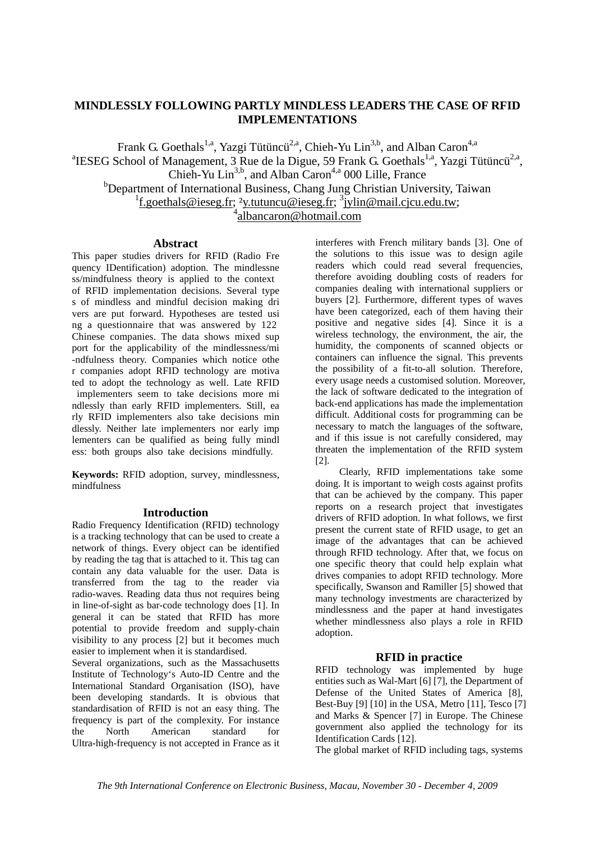### **MINDLESSLY FOLLOWING PARTLY MINDLESS LEADERS THE CASE OF RFID IMPLEMENTATIONS**

Frank G. Goethals<sup>1,a</sup>, Yazgi Tütüncü<sup>2,a</sup>, Chieh-Yu Lin<sup>3,b</sup>, and Alban Caron<sup>4,a</sup> <sup>a</sup>IESEG School of Management, 3 Rue de la Digue, 59 Frank G. Goethals<sup>1,a</sup>, Yazgi Tütüncü<sup>2,a</sup>, Chieh-Yu  $Lin<sup>3,b</sup>$ , and Alban Caron<sup>4,a</sup> 000 Lille, France <sup>b</sup>Department of International Business, Chang Jung Christian University, Taiwan <sup>1</sup>f.goethals@ieseg.fr; <sup>2</sup>y.tutuncu@ieseg.fr; <sup>3</sup>jylin@mail.cjcu.edu.tw;

4 albancaron@hotmail.com

#### **Abstract**

This paper studies drivers for RFID (Radio Fre quency IDentification) adoption. The mindlessne ss/mindfulness theory is applied to the context of RFID implementation decisions. Several type s of mindless and mindful decision making dri vers are put forward. Hypotheses are tested usi ng a questionnaire that was answered by 122 Chinese companies. The data shows mixed sup port for the applicability of the mindlessness/mi -ndfulness theory. Companies which notice othe r companies adopt RFID technology are motiva ted to adopt the technology as well. Late RFID implementers seem to take decisions more mi ndlessly than early RFID implementers. Still, ea rly RFID implementers also take decisions min dlessly. Neither late implementers nor early imp lementers can be qualified as being fully mindl ess: both groups also take decisions mindfully.

**Keywords:** RFID adoption, survey, mindlessness, mindfulness

#### **Introduction**

Radio Frequency Identification (RFID) technology is a tracking technology that can be used to create a network of things. Every object can be identified by reading the tag that is attached to it. This tag can contain any data valuable for the user. Data is transferred from the tag to the reader via radio-waves. Reading data thus not requires being in line-of-sight as bar-code technology does [1]. In general it can be stated that RFID has more potential to provide freedom and supply-chain visibility to any process [2] but it becomes much easier to implement when it is standardised.

Several organizations, such as the Massachusetts Institute of Technology's Auto-ID Centre and the International Standard Organisation (ISO), have been developing standards. It is obvious that standardisation of RFID is not an easy thing. The frequency is part of the complexity. For instance the North American standard for Ultra-high-frequency is not accepted in France as it

interferes with French military bands [3]. One of the solutions to this issue was to design agile readers which could read several frequencies, therefore avoiding doubling costs of readers for companies dealing with international suppliers or buyers [2]. Furthermore, different types of waves have been categorized, each of them having their positive and negative sides [4]. Since it is a wireless technology, the environment, the air, the humidity, the components of scanned objects or containers can influence the signal. This prevents the possibility of a fit-to-all solution. Therefore, every usage needs a customised solution. Moreover, the lack of software dedicated to the integration of back-end applications has made the implementation difficult. Additional costs for programming can be necessary to match the languages of the software, and if this issue is not carefully considered, may threaten the implementation of the RFID system [2].

Clearly, RFID implementations take some doing. It is important to weigh costs against profits that can be achieved by the company. This paper reports on a research project that investigates drivers of RFID adoption. In what follows, we first present the current state of RFID usage, to get an image of the advantages that can be achieved through RFID technology. After that, we focus on one specific theory that could help explain what drives companies to adopt RFID technology. More specifically, Swanson and Ramiller [5] showed that many technology investments are characterized by mindlessness and the paper at hand investigates whether mindlessness also plays a role in RFID adoption.

#### **RFID in practice**

RFID technology was implemented by huge entities such as Wal-Mart [6] [7], the Department of Defense of the United States of America [8], Best-Buy [9] [10] in the USA, Metro [11], Tesco [7] and Marks & Spencer [7] in Europe. The Chinese government also applied the technology for its Identification Cards [12].

The global market of RFID including tags, systems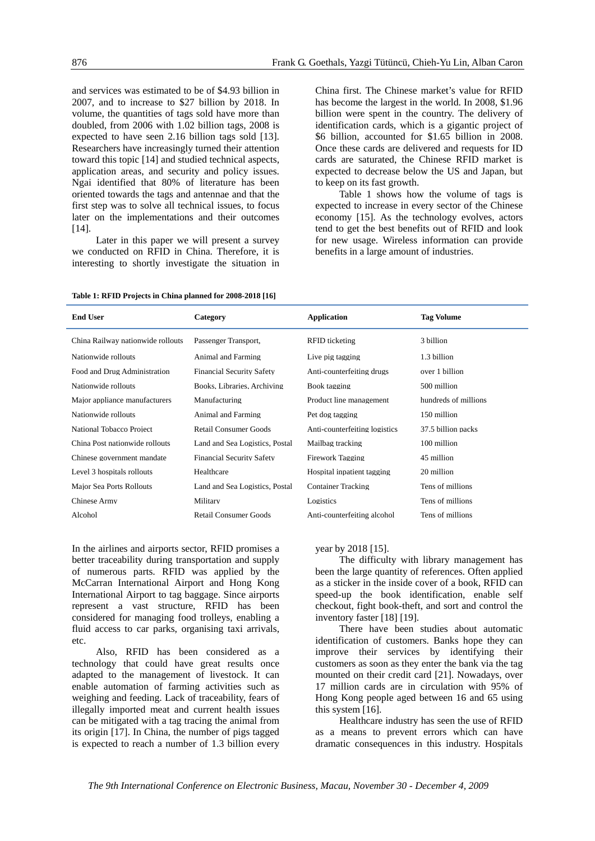and services was estimated to be of \$4.93 billion in 2007, and to increase to \$27 billion by 2018. In volume, the quantities of tags sold have more than doubled, from 2006 with 1.02 billion tags, 2008 is expected to have seen 2.16 billion tags sold [13]. Researchers have increasingly turned their attention toward this topic [14] and studied technical aspects, application areas, and security and policy issues. Ngai identified that 80% of literature has been oriented towards the tags and antennae and that the first step was to solve all technical issues, to focus later on the implementations and their outcomes [14].

Later in this paper we will present a survey we conducted on RFID in China. Therefore, it is interesting to shortly investigate the situation in

China first. The Chinese market's value for RFID has become the largest in the world. In 2008, \$1.96 billion were spent in the country. The delivery of identification cards, which is a gigantic project of \$6 billion, accounted for \$1.65 billion in 2008. Once these cards are delivered and requests for ID cards are saturated, the Chinese RFID market is expected to decrease below the US and Japan, but to keep on its fast growth.

Table 1 shows how the volume of tags is expected to increase in every sector of the Chinese economy [15]. As the technology evolves, actors tend to get the best benefits out of RFID and look for new usage. Wireless information can provide benefits in a large amount of industries.

| <b>End User</b>                   | Category                         | <b>Application</b>            | <b>Tag Volume</b>    |
|-----------------------------------|----------------------------------|-------------------------------|----------------------|
| China Railway nationwide rollouts | Passenger Transport,             | RFID ticketing                | 3 billion            |
| Nationwide rollouts               | Animal and Farming               | Live pig tagging              | 1.3 billion          |
| Food and Drug Administration      | <b>Financial Security Safety</b> | Anti-counterfeiting drugs     | over 1 billion       |
| Nationwide rollouts               | Books, Libraries, Archiving      | Book tagging                  | 500 million          |
| Major appliance manufacturers     | Manufacturing                    | Product line management       | hundreds of millions |
| Nationwide rollouts               | Animal and Farming               | Pet dog tagging               | 150 million          |
| National Tobacco Project          | <b>Retail Consumer Goods</b>     | Anti-counterfeiting logistics | 37.5 billion packs   |
| China Post nationwide rollouts    | Land and Sea Logistics, Postal   | Mailbag tracking              | 100 million          |
| Chinese government mandate        | <b>Financial Security Safety</b> | Firework Tagging              | 45 million           |
| Level 3 hospitals rollouts        | Healthcare                       | Hospital inpatient tagging    | 20 million           |
| Maior Sea Ports Rollouts          | Land and Sea Logistics, Postal   | Container Tracking            | Tens of millions     |
| Chinese Army                      | Military                         | Logistics                     | Tens of millions     |
| Alcohol                           | <b>Retail Consumer Goods</b>     | Anti-counterfeiting alcohol   | Tens of millions     |

In the airlines and airports sector, RFID promises a better traceability during transportation and supply of numerous parts. RFID was applied by the McCarran International Airport and Hong Kong International Airport to tag baggage. Since airports represent a vast structure, RFID has been considered for managing food trolleys, enabling a fluid access to car parks, organising taxi arrivals, etc.

Also, RFID has been considered as a technology that could have great results once adapted to the management of livestock. It can enable automation of farming activities such as weighing and feeding. Lack of traceability, fears of illegally imported meat and current health issues can be mitigated with a tag tracing the animal from its origin [17]. In China, the number of pigs tagged is expected to reach a number of 1.3 billion every

year by 2018 [15].

The difficulty with library management has been the large quantity of references. Often applied as a sticker in the inside cover of a book, RFID can speed-up the book identification, enable self checkout, fight book-theft, and sort and control the inventory faster [18] [19].

There have been studies about automatic identification of customers. Banks hope they can improve their services by identifying their customers as soon as they enter the bank via the tag mounted on their credit card [21]. Nowadays, over 17 million cards are in circulation with 95% of Hong Kong people aged between 16 and 65 using this system [16].

Healthcare industry has seen the use of RFID as a means to prevent errors which can have dramatic consequences in this industry. Hospitals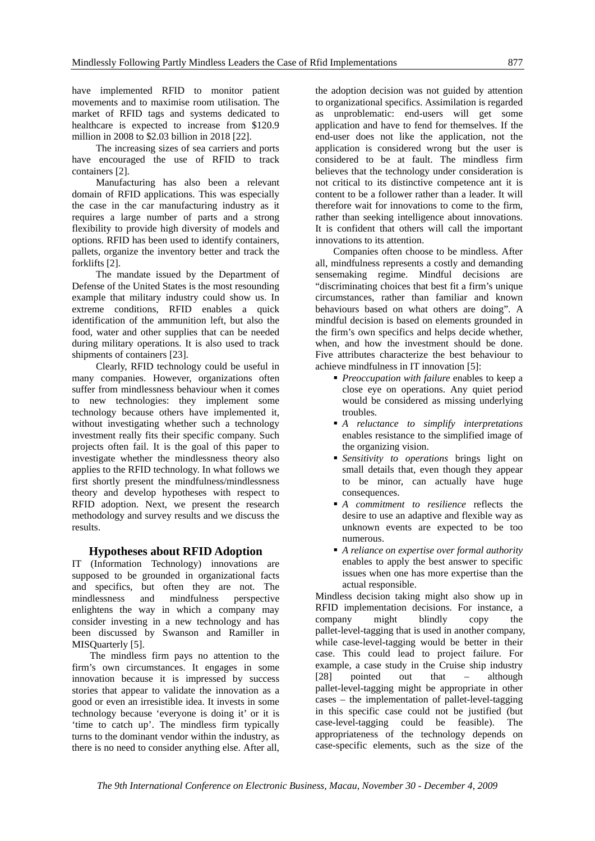have implemented RFID to monitor patient movements and to maximise room utilisation. The market of RFID tags and systems dedicated to healthcare is expected to increase from \$120.9 million in 2008 to \$2.03 billion in 2018 [22].

The increasing sizes of sea carriers and ports have encouraged the use of RFID to track containers [2].

Manufacturing has also been a relevant domain of RFID applications. This was especially the case in the car manufacturing industry as it requires a large number of parts and a strong flexibility to provide high diversity of models and options. RFID has been used to identify containers, pallets, organize the inventory better and track the forklifts [2].

The mandate issued by the Department of Defense of the United States is the most resounding example that military industry could show us. In extreme conditions, RFID enables a quick identification of the ammunition left, but also the food, water and other supplies that can be needed during military operations. It is also used to track shipments of containers [23].

Clearly, RFID technology could be useful in many companies. However, organizations often suffer from mindlessness behaviour when it comes to new technologies: they implement some technology because others have implemented it, without investigating whether such a technology investment really fits their specific company. Such projects often fail. It is the goal of this paper to investigate whether the mindlessness theory also applies to the RFID technology. In what follows we first shortly present the mindfulness/mindlessness theory and develop hypotheses with respect to RFID adoption. Next, we present the research methodology and survey results and we discuss the results.

#### **Hypotheses about RFID Adoption**

IT (Information Technology) innovations are supposed to be grounded in organizational facts and specifics, but often they are not. The mindlessness and mindfulness perspective enlightens the way in which a company may consider investing in a new technology and has been discussed by Swanson and Ramiller in MISQuarterly [5].

The mindless firm pays no attention to the firm's own circumstances. It engages in some innovation because it is impressed by success stories that appear to validate the innovation as a good or even an irresistible idea. It invests in some technology because 'everyone is doing it' or it is 'time to catch up'. The mindless firm typically turns to the dominant vendor within the industry, as there is no need to consider anything else. After all,

the adoption decision was not guided by attention to organizational specifics. Assimilation is regarded as unproblematic: end-users will get some application and have to fend for themselves. If the end-user does not like the application, not the application is considered wrong but the user is considered to be at fault. The mindless firm believes that the technology under consideration is not critical to its distinctive competence ant it is content to be a follower rather than a leader. It will therefore wait for innovations to come to the firm, rather than seeking intelligence about innovations. It is confident that others will call the important innovations to its attention.

Companies often choose to be mindless. After all, mindfulness represents a costly and demanding sensemaking regime. Mindful decisions are "discriminating choices that best fit a firm's unique circumstances, rather than familiar and known behaviours based on what others are doing". A mindful decision is based on elements grounded in the firm's own specifics and helps decide whether, when, and how the investment should be done. Five attributes characterize the best behaviour to achieve mindfulness in IT innovation [5]:

- *Preoccupation with failure* enables to keep a close eye on operations. Any quiet period would be considered as missing underlying troubles.
- *A reluctance to simplify interpretations* enables resistance to the simplified image of the organizing vision.
- *Sensitivity to operations* brings light on small details that, even though they appear to be minor, can actually have huge consequences.
- *A commitment to resilience* reflects the desire to use an adaptive and flexible way as unknown events are expected to be too numerous.
- *A reliance on expertise over formal authority*  enables to apply the best answer to specific issues when one has more expertise than the actual responsible.

Mindless decision taking might also show up in RFID implementation decisions. For instance, a company might blindly copy the pallet-level-tagging that is used in another company, while case-level-tagging would be better in their case. This could lead to project failure. For example, a case study in the Cruise ship industry [28] pointed out that – although pallet-level-tagging might be appropriate in other cases – the implementation of pallet-level-tagging in this specific case could not be justified (but case-level-tagging could be feasible). The appropriateness of the technology depends on case-specific elements, such as the size of the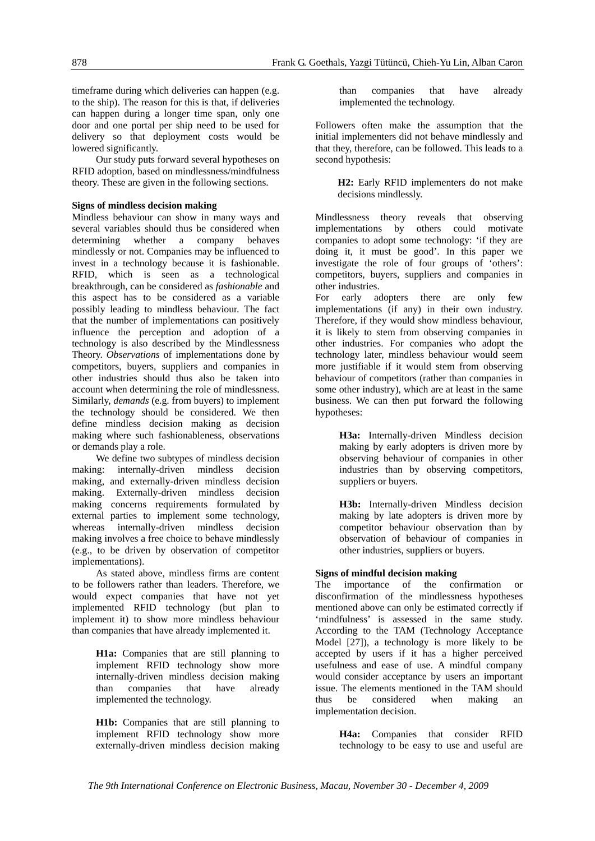timeframe during which deliveries can happen (e.g. to the ship). The reason for this is that, if deliveries can happen during a longer time span, only one door and one portal per ship need to be used for delivery so that deployment costs would be lowered significantly.

Our study puts forward several hypotheses on RFID adoption, based on mindlessness/mindfulness theory. These are given in the following sections.

#### **Signs of mindless decision making**

Mindless behaviour can show in many ways and several variables should thus be considered when determining whether a company behaves mindlessly or not. Companies may be influenced to invest in a technology because it is fashionable. RFID, which is seen as a technological breakthrough, can be considered as *fashionable* and this aspect has to be considered as a variable possibly leading to mindless behaviour. The fact that the number of implementations can positively influence the perception and adoption of a technology is also described by the Mindlessness Theory. *Observations* of implementations done by competitors, buyers, suppliers and companies in other industries should thus also be taken into account when determining the role of mindlessness. Similarly, *demands* (e.g. from buyers) to implement the technology should be considered. We then define mindless decision making as decision making where such fashionableness, observations or demands play a role.

We define two subtypes of mindless decision making: internally-driven mindless decision making, and externally-driven mindless decision making. Externally-driven mindless decision making concerns requirements formulated by external parties to implement some technology, whereas internally-driven mindless decision making involves a free choice to behave mindlessly (e.g., to be driven by observation of competitor implementations).

As stated above, mindless firms are content to be followers rather than leaders. Therefore, we would expect companies that have not yet implemented RFID technology (but plan to implement it) to show more mindless behaviour than companies that have already implemented it.

> **H1a:** Companies that are still planning to implement RFID technology show more internally-driven mindless decision making than companies that have already implemented the technology.

> **H1b:** Companies that are still planning to implement RFID technology show more externally-driven mindless decision making

than companies that have already implemented the technology.

Followers often make the assumption that the initial implementers did not behave mindlessly and that they, therefore, can be followed. This leads to a second hypothesis:

> **H2:** Early RFID implementers do not make decisions mindlessly.

Mindlessness theory reveals that observing implementations by others could motivate companies to adopt some technology: 'if they are doing it, it must be good'. In this paper we investigate the role of four groups of 'others': competitors, buyers, suppliers and companies in other industries.

For early adopters there are only few implementations (if any) in their own industry. Therefore, if they would show mindless behaviour, it is likely to stem from observing companies in other industries. For companies who adopt the technology later, mindless behaviour would seem more justifiable if it would stem from observing behaviour of competitors (rather than companies in some other industry), which are at least in the same business. We can then put forward the following hypotheses:

> **H3a:** Internally-driven Mindless decision making by early adopters is driven more by observing behaviour of companies in other industries than by observing competitors, suppliers or buyers.

> **H3b:** Internally-driven Mindless decision making by late adopters is driven more by competitor behaviour observation than by observation of behaviour of companies in other industries, suppliers or buyers.

#### **Signs of mindful decision making**

The importance of the confirmation or disconfirmation of the mindlessness hypotheses mentioned above can only be estimated correctly if 'mindfulness' is assessed in the same study. According to the TAM (Technology Acceptance Model [27]), a technology is more likely to be accepted by users if it has a higher perceived usefulness and ease of use. A mindful company would consider acceptance by users an important issue. The elements mentioned in the TAM should thus be considered when making an implementation decision.

> **H4a:** Companies that consider RFID technology to be easy to use and useful are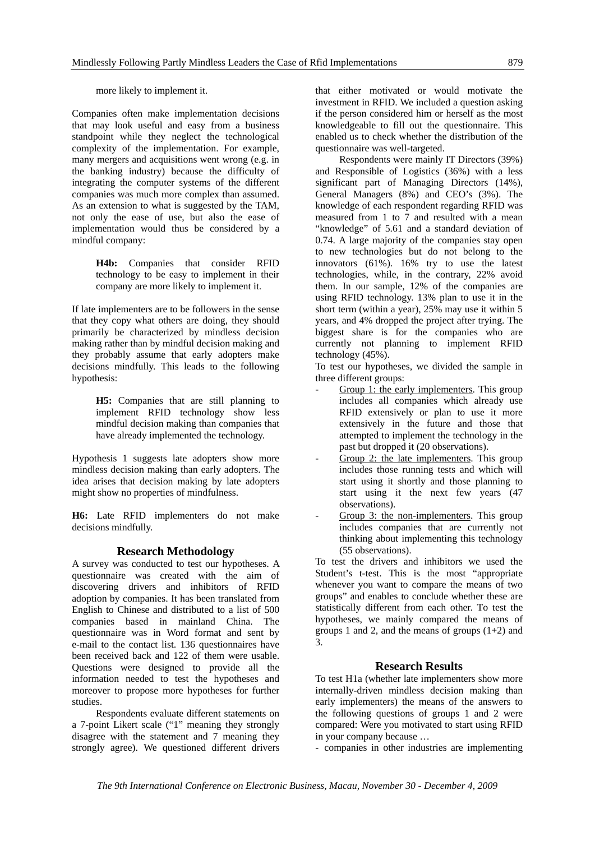#### more likely to implement it.

Companies often make implementation decisions that may look useful and easy from a business standpoint while they neglect the technological complexity of the implementation. For example, many mergers and acquisitions went wrong (e.g. in the banking industry) because the difficulty of integrating the computer systems of the different companies was much more complex than assumed. As an extension to what is suggested by the TAM, not only the ease of use, but also the ease of implementation would thus be considered by a mindful company:

> **H4b:** Companies that consider RFID technology to be easy to implement in their company are more likely to implement it.

If late implementers are to be followers in the sense that they copy what others are doing, they should primarily be characterized by mindless decision making rather than by mindful decision making and they probably assume that early adopters make decisions mindfully. This leads to the following hypothesis:

> **H5:** Companies that are still planning to implement RFID technology show less mindful decision making than companies that have already implemented the technology.

Hypothesis 1 suggests late adopters show more mindless decision making than early adopters. The idea arises that decision making by late adopters might show no properties of mindfulness.

**H6:** Late RFID implementers do not make decisions mindfully.

#### **Research Methodology**

A survey was conducted to test our hypotheses. A questionnaire was created with the aim of discovering drivers and inhibitors of RFID adoption by companies. It has been translated from English to Chinese and distributed to a list of 500 companies based in mainland China. The questionnaire was in Word format and sent by e-mail to the contact list. 136 questionnaires have been received back and 122 of them were usable. Questions were designed to provide all the information needed to test the hypotheses and moreover to propose more hypotheses for further studies.

Respondents evaluate different statements on a 7-point Likert scale ("1" meaning they strongly disagree with the statement and 7 meaning they strongly agree). We questioned different drivers that either motivated or would motivate the investment in RFID. We included a question asking if the person considered him or herself as the most knowledgeable to fill out the questionnaire. This enabled us to check whether the distribution of the questionnaire was well-targeted.

Respondents were mainly IT Directors (39%) and Responsible of Logistics (36%) with a less significant part of Managing Directors (14%), General Managers (8%) and CEO's (3%). The knowledge of each respondent regarding RFID was measured from 1 to 7 and resulted with a mean "knowledge" of 5.61 and a standard deviation of 0.74. A large majority of the companies stay open to new technologies but do not belong to the innovators (61%). 16% try to use the latest technologies, while, in the contrary, 22% avoid them. In our sample, 12% of the companies are using RFID technology. 13% plan to use it in the short term (within a year), 25% may use it within 5 years, and 4% dropped the project after trying. The biggest share is for the companies who are currently not planning to implement RFID technology  $(45\%)$ .

To test our hypotheses, we divided the sample in three different groups:

- Group 1: the early implementers. This group includes all companies which already use RFID extensively or plan to use it more extensively in the future and those that attempted to implement the technology in the past but dropped it (20 observations).
- Group 2: the late implementers. This group includes those running tests and which will start using it shortly and those planning to start using it the next few years (47 observations).
- Group 3: the non-implementers. This group includes companies that are currently not thinking about implementing this technology (55 observations).

To test the drivers and inhibitors we used the Student's t-test. This is the most "appropriate whenever you want to compare the means of two groups" and enables to conclude whether these are statistically different from each other. To test the hypotheses, we mainly compared the means of groups 1 and 2, and the means of groups  $(1+2)$  and 3.

#### **Research Results**

To test H1a (whether late implementers show more internally-driven mindless decision making than early implementers) the means of the answers to the following questions of groups 1 and 2 were compared: Were you motivated to start using RFID in your company because …

- companies in other industries are implementing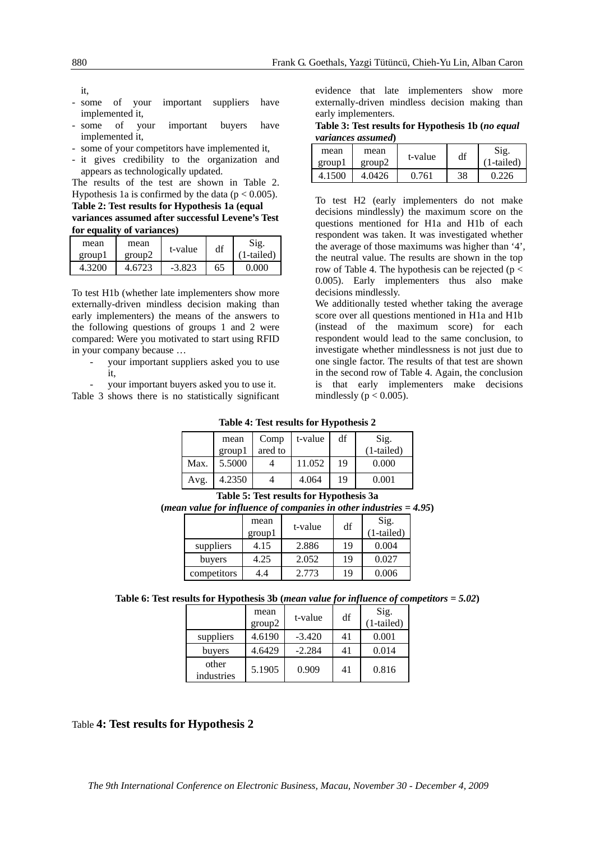- it, - some of your important suppliers have implemented it,
- some of your important buyers have implemented it,
- some of your competitors have implemented it,
- it gives credibility to the organization and appears as technologically updated.

The results of the test are shown in Table 2. Hypothesis 1a is confirmed by the data ( $p < 0.005$ ).

**Table 2: Test results for Hypothesis 1a (equal variances assumed after successful Levene's Test for equality of variances)** 

| mean   | mean   | t-value  | df | $\gamma_{19}$ |
|--------|--------|----------|----|---------------|
| group] | group2 |          |    | 1-tailed)     |
| 3200   |        | $-3.823$ | 65 | (1)           |

To test H1b (whether late implementers show more externally-driven mindless decision making than early implementers) the means of the answers to the following questions of groups 1 and 2 were compared: Were you motivated to start using RFID in your company because …

- your important suppliers asked you to use it,
- your important buyers asked you to use it.

Table 3 shows there is no statistically significant

evidence that late implementers show more externally-driven mindless decision making than early implementers.

**Table 3: Test results for Hypothesis 1b (***no equal variances assumed***)** 

| mean<br>group1 | mean<br>group2 | t-value | df | Sig.<br>1-tailed) |
|----------------|----------------|---------|----|-------------------|
| 4.1500         | (1426)         | በ 761   | 38 |                   |

To test H2 (early implementers do not make decisions mindlessly) the maximum score on the questions mentioned for H1a and H1b of each respondent was taken. It was investigated whether the average of those maximums was higher than '4', the neutral value. The results are shown in the top row of Table 4. The hypothesis can be rejected ( $p <$ 0.005). Early implementers thus also make decisions mindlessly.

We additionally tested whether taking the average score over all questions mentioned in H1a and H1b (instead of the maximum score) for each respondent would lead to the same conclusion, to investigate whether mindlessness is not just due to one single factor. The results of that test are shown in the second row of Table 4. Again, the conclusion is that early implementers make decisions mindlessly ( $p < 0.005$ ).

|                                         | mean   | Comp    | t-value | df | Sig.         |
|-----------------------------------------|--------|---------|---------|----|--------------|
|                                         | group1 | ared to |         |    | $(1-tailed)$ |
| Max.                                    | 5.5000 |         | 11.052  | 19 | 0.000        |
| Avg.                                    | 4.2350 |         | 4.064   | 19 | 0.001        |
| Table 5: Test results for Hypothesis 3a |        |         |         |    |              |

#### **Table 4: Test results for Hypothesis 2**

**(***mean value for influence of companies in other industries = 4.95***)** 

|             | mean<br>group1 | t-value | df | Sig.<br>(1-tailed) |
|-------------|----------------|---------|----|--------------------|
| suppliers   | 4.15           | 2.886   | 19 | 0.004              |
| buyers      | 4.25           | 2.052   | 19 | 0.027              |
| competitors | 4.4            | 2.773   | 19 | 0.006              |

**Table 6: Test results for Hypothesis 3b (***mean value for influence of competitors = 5.02***)** 

|                     | mean<br>group2 | t-value  | df | Sig.<br>$(1-tailed)$ |
|---------------------|----------------|----------|----|----------------------|
| suppliers           | 4.6190         | $-3.420$ | 41 | 0.001                |
| buyers              | 4.6429         | $-2.284$ | 41 | 0.014                |
| other<br>industries | 5.1905         | 0.909    | 41 | 0.816                |

#### Table **4: Test results for Hypothesis 2**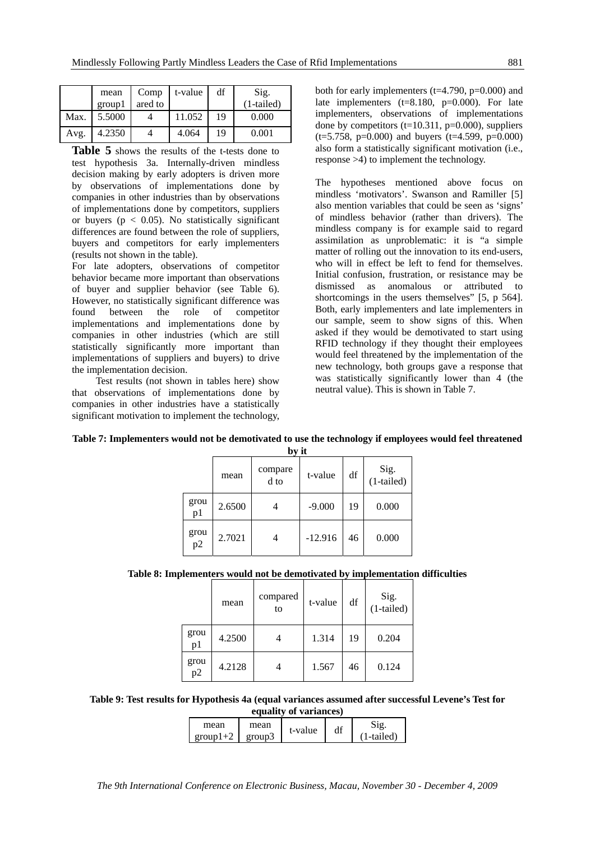|      | mean   |         | $Comp$   t-value | df | Sig.         |
|------|--------|---------|------------------|----|--------------|
|      | group1 | ared to |                  |    | $(1-tailed)$ |
| Max. | 5.5000 |         | 11.052           | 19 | 0.000        |
| Avg. | 4.2350 |         | 4.064            | 19 | 0.001        |

**Table 5** shows the results of the t-tests done to test hypothesis 3a. Internally-driven mindless decision making by early adopters is driven more by observations of implementations done by companies in other industries than by observations of implementations done by competitors, suppliers or buyers ( $p < 0.05$ ). No statistically significant differences are found between the role of suppliers, buyers and competitors for early implementers (results not shown in the table).

For late adopters, observations of competitor behavior became more important than observations of buyer and supplier behavior (see Table 6). However, no statistically significant difference was found between the role of competitor implementations and implementations done by companies in other industries (which are still statistically significantly more important than implementations of suppliers and buyers) to drive the implementation decision.

Test results (not shown in tables here) show that observations of implementations done by companies in other industries have a statistically significant motivation to implement the technology, both for early implementers  $(t=4.790, p=0.000)$  and late implementers (t=8.180, p=0.000). For late implementers, observations of implementations done by competitors ( $t=10.311$ ,  $p=0.000$ ), suppliers  $(t=5.758, p=0.000)$  and buyers  $(t=4.599, p=0.000)$ also form a statistically significant motivation (i.e., response >4) to implement the technology.

The hypotheses mentioned above focus on mindless 'motivators'. Swanson and Ramiller [5] also mention variables that could be seen as 'signs' of mindless behavior (rather than drivers). The mindless company is for example said to regard assimilation as unproblematic: it is "a simple matter of rolling out the innovation to its end-users, who will in effect be left to fend for themselves. Initial confusion, frustration, or resistance may be dismissed as anomalous or attributed to shortcomings in the users themselves" [5, p 564]. Both, early implementers and late implementers in our sample, seem to show signs of this. When asked if they would be demotivated to start using RFID technology if they thought their employees would feel threatened by the implementation of the new technology, both groups gave a response that was statistically significantly lower than 4 (the neutral value). This is shown in Table 7.

| VV IL      |        |                 |           |    |                    |  |  |
|------------|--------|-----------------|-----------|----|--------------------|--|--|
|            | mean   | compare<br>d to | t-value   | df | Sig.<br>(1-tailed) |  |  |
| grou<br>p1 | 2.6500 |                 | $-9.000$  | 19 | 0.000              |  |  |
| grou<br>p2 | 2.7021 |                 | $-12.916$ | 46 | 0.000              |  |  |

#### **Table 7: Implementers would not be demotivated to use the technology if employees would feel threatened by it**

**Table 8: Implementers would not be demotivated by implementation difficulties** 

|            | mean   | compared<br>to | t-value | df | Sig.<br>(1-tailed) |
|------------|--------|----------------|---------|----|--------------------|
| grou<br>p1 | 4.2500 |                | 1.314   | 19 | 0.204              |
| grou<br>p2 | 4.2128 |                | 1.567   | 46 | 0.124              |

#### **Table 9: Test results for Hypothesis 4a (equal variances assumed after successful Levene's Test for equality of variances)**

| mean                | mean   |         |    |           |
|---------------------|--------|---------|----|-----------|
| $\sigma$ roun $1+z$ | eroup3 | t-value | df | 1-tailed) |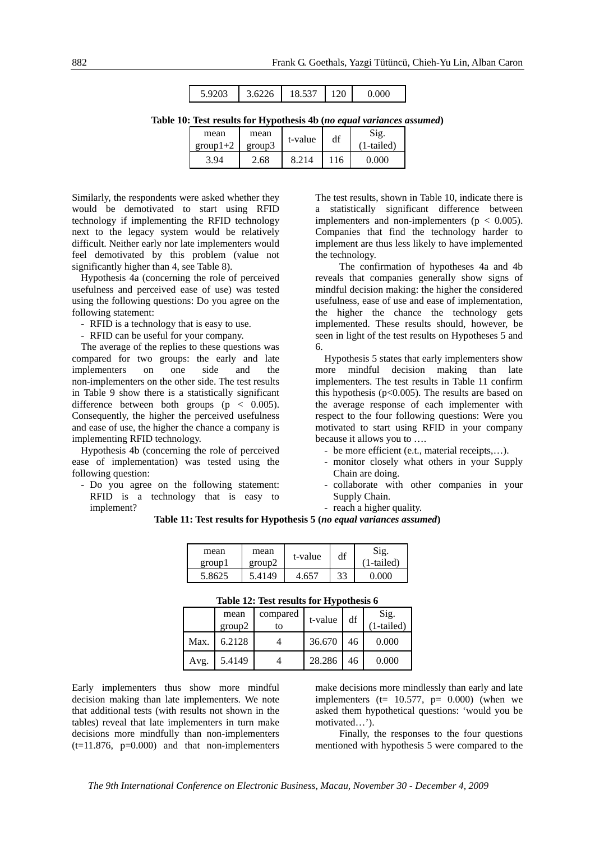| 5.9203 | 3.6226 | 18.537 | $120 -$ | 0.000 |  |
|--------|--------|--------|---------|-------|--|
|--------|--------|--------|---------|-------|--|

**Table 10: Test results for Hypothesis 4b (***no equal variances assumed***)** 

| mean<br>$group1+2$ | mean<br>group3 | t-value | df | Sig.<br>1-tailed) |
|--------------------|----------------|---------|----|-------------------|
| : 94               | 68             |         |    | )()()             |

Similarly, the respondents were asked whether they would be demotivated to start using RFID technology if implementing the RFID technology next to the legacy system would be relatively difficult. Neither early nor late implementers would feel demotivated by this problem (value not significantly higher than 4, see Table 8).

Hypothesis 4a (concerning the role of perceived usefulness and perceived ease of use) was tested using the following questions: Do you agree on the following statement:

- RFID is a technology that is easy to use.
- RFID can be useful for your company.

The average of the replies to these questions was compared for two groups: the early and late implementers on one side and the non-implementers on the other side. The test results in Table 9 show there is a statistically significant difference between both groups (p < 0.005). Consequently, the higher the perceived usefulness and ease of use, the higher the chance a company is implementing RFID technology.

Hypothesis 4b (concerning the role of perceived ease of implementation) was tested using the following question:

- Do you agree on the following statement: RFID is a technology that is easy to implement?

The test results, shown in Table 10, indicate there is a statistically significant difference between implementers and non-implementers ( $p < 0.005$ ). Companies that find the technology harder to implement are thus less likely to have implemented the technology.

The confirmation of hypotheses 4a and 4b reveals that companies generally show signs of mindful decision making: the higher the considered usefulness, ease of use and ease of implementation, the higher the chance the technology gets implemented. These results should, however, be seen in light of the test results on Hypotheses 5 and 6.

Hypothesis 5 states that early implementers show more mindful decision making than late implementers. The test results in Table 11 confirm this hypothesis ( $p<0.005$ ). The results are based on the average response of each implementer with respect to the four following questions: Were you motivated to start using RFID in your company because it allows you to ….

- be more efficient (e.t., material receipts,…).
- monitor closely what others in your Supply Chain are doing.
- collaborate with other companies in your Supply Chain.
- reach a higher quality.

#### **Table 11: Test results for Hypothesis 5 (***no equal variances assumed***)**

| mean  | mean   | t-value | df |           |
|-------|--------|---------|----|-----------|
| group | group2 |         |    | 1-tailed) |
| 5 867 | 4149   |         | 22 | നവ        |

#### **Table 12: Test results for Hypothesis 6**

|      | mean<br>group2 | compared<br>to | t-value | df | Sig.<br>(1-tailed) |
|------|----------------|----------------|---------|----|--------------------|
| Max. | 6.2128         |                | 36.670  | 46 | 0.000              |
| Avg. | 5.4149         |                | 28.286  | 46 | 0.000              |

Early implementers thus show more mindful decision making than late implementers. We note that additional tests (with results not shown in the tables) reveal that late implementers in turn make decisions more mindfully than non-implementers  $(t=11.876, p=0.000)$  and that non-implementers

make decisions more mindlessly than early and late implementers ( $t= 10.577$ ,  $p= 0.000$ ) (when we asked them hypothetical questions: 'would you be motivated…').

Finally, the responses to the four questions mentioned with hypothesis 5 were compared to the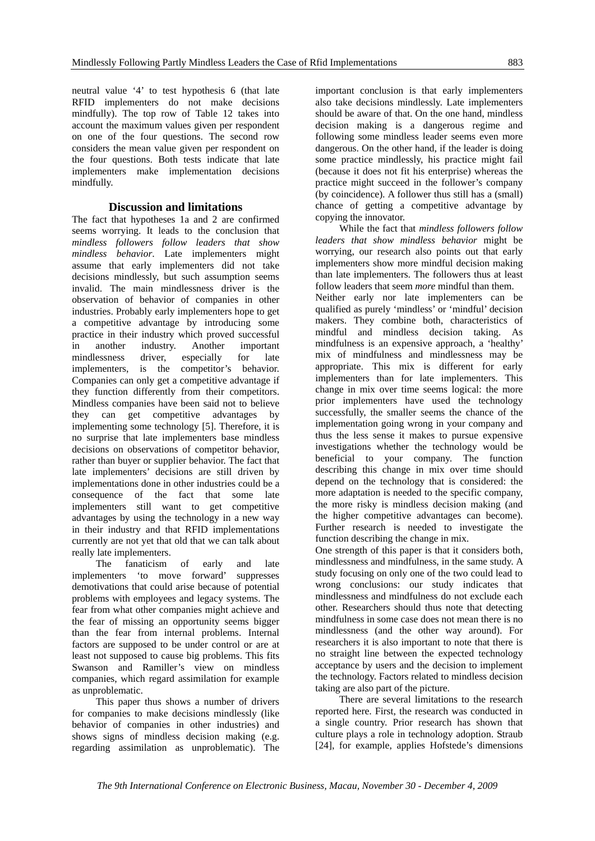neutral value '4' to test hypothesis 6 (that late RFID implementers do not make decisions mindfully). The top row of Table 12 takes into account the maximum values given per respondent on one of the four questions. The second row considers the mean value given per respondent on the four questions. Both tests indicate that late implementers make implementation decisions mindfully.

#### **Discussion and limitations**

The fact that hypotheses 1a and 2 are confirmed seems worrying. It leads to the conclusion that *mindless followers follow leaders that show mindless behavior*. Late implementers might assume that early implementers did not take decisions mindlessly, but such assumption seems invalid. The main mindlessness driver is the observation of behavior of companies in other industries. Probably early implementers hope to get a competitive advantage by introducing some practice in their industry which proved successful in another industry. Another important mindlessness driver, especially for late implementers, is the competitor's behavior. Companies can only get a competitive advantage if they function differently from their competitors. Mindless companies have been said not to believe they can get competitive advantages by implementing some technology [5]. Therefore, it is no surprise that late implementers base mindless decisions on observations of competitor behavior, rather than buyer or supplier behavior. The fact that late implementers' decisions are still driven by implementations done in other industries could be a consequence of the fact that some late implementers still want to get competitive advantages by using the technology in a new way in their industry and that RFID implementations currently are not yet that old that we can talk about really late implementers.

The fanaticism of early and late implementers 'to move forward' suppresses demotivations that could arise because of potential problems with employees and legacy systems. The fear from what other companies might achieve and the fear of missing an opportunity seems bigger than the fear from internal problems. Internal factors are supposed to be under control or are at least not supposed to cause big problems. This fits Swanson and Ramiller's view on mindless companies, which regard assimilation for example as unproblematic.

This paper thus shows a number of drivers for companies to make decisions mindlessly (like behavior of companies in other industries) and shows signs of mindless decision making (e.g. regarding assimilation as unproblematic). The

important conclusion is that early implementers also take decisions mindlessly. Late implementers should be aware of that. On the one hand, mindless decision making is a dangerous regime and following some mindless leader seems even more dangerous. On the other hand, if the leader is doing some practice mindlessly, his practice might fail (because it does not fit his enterprise) whereas the practice might succeed in the follower's company (by coincidence). A follower thus still has a (small) chance of getting a competitive advantage by copying the innovator.

While the fact that *mindless followers follow leaders that show mindless behavior* might be worrying, our research also points out that early implementers show more mindful decision making than late implementers. The followers thus at least follow leaders that seem *more* mindful than them. Neither early nor late implementers can be

qualified as purely 'mindless' or 'mindful' decision makers. They combine both, characteristics of mindful and mindless decision taking. As mindfulness is an expensive approach, a 'healthy' mix of mindfulness and mindlessness may be appropriate. This mix is different for early implementers than for late implementers. This change in mix over time seems logical: the more prior implementers have used the technology successfully, the smaller seems the chance of the implementation going wrong in your company and thus the less sense it makes to pursue expensive investigations whether the technology would be beneficial to your company. The function describing this change in mix over time should depend on the technology that is considered: the more adaptation is needed to the specific company, the more risky is mindless decision making (and the higher competitive advantages can become). Further research is needed to investigate the function describing the change in mix.

One strength of this paper is that it considers both, mindlessness and mindfulness, in the same study. A study focusing on only one of the two could lead to wrong conclusions: our study indicates that mindlessness and mindfulness do not exclude each other. Researchers should thus note that detecting mindfulness in some case does not mean there is no mindlessness (and the other way around). For researchers it is also important to note that there is no straight line between the expected technology acceptance by users and the decision to implement the technology. Factors related to mindless decision taking are also part of the picture.

There are several limitations to the research reported here. First, the research was conducted in a single country. Prior research has shown that culture plays a role in technology adoption. Straub [24], for example, applies Hofstede's dimensions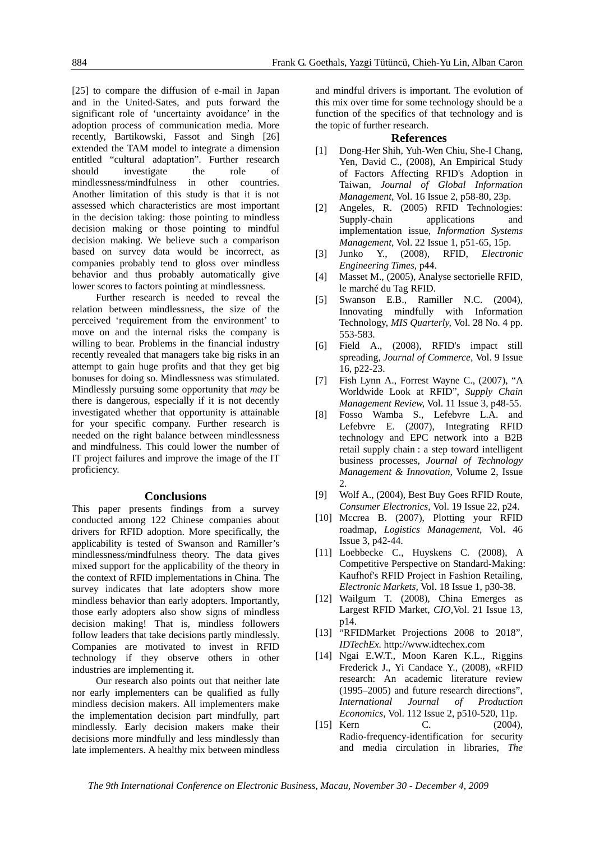[25] to compare the diffusion of e-mail in Japan and in the United-Sates, and puts forward the significant role of 'uncertainty avoidance' in the adoption process of communication media. More recently, Bartikowski, Fassot and Singh [26] extended the TAM model to integrate a dimension entitled "cultural adaptation". Further research should investigate the role of mindlessness/mindfulness in other countries. Another limitation of this study is that it is not assessed which characteristics are most important in the decision taking: those pointing to mindless decision making or those pointing to mindful decision making. We believe such a comparison based on survey data would be incorrect, as companies probably tend to gloss over mindless behavior and thus probably automatically give lower scores to factors pointing at mindlessness.

Further research is needed to reveal the relation between mindlessness, the size of the perceived 'requirement from the environment' to move on and the internal risks the company is willing to bear. Problems in the financial industry recently revealed that managers take big risks in an attempt to gain huge profits and that they get big bonuses for doing so. Mindlessness was stimulated. Mindlessly pursuing some opportunity that *may* be there is dangerous, especially if it is not decently investigated whether that opportunity is attainable for your specific company. Further research is needed on the right balance between mindlessness and mindfulness. This could lower the number of IT project failures and improve the image of the IT proficiency.

#### **Conclusions**

This paper presents findings from a survey conducted among 122 Chinese companies about drivers for RFID adoption. More specifically, the applicability is tested of Swanson and Ramiller's mindlessness/mindfulness theory. The data gives mixed support for the applicability of the theory in the context of RFID implementations in China. The survey indicates that late adopters show more mindless behavior than early adopters. Importantly, those early adopters also show signs of mindless decision making! That is, mindless followers follow leaders that take decisions partly mindlessly. Companies are motivated to invest in RFID technology if they observe others in other industries are implementing it.

Our research also points out that neither late nor early implementers can be qualified as fully mindless decision makers. All implementers make the implementation decision part mindfully, part mindlessly. Early decision makers make their decisions more mindfully and less mindlessly than late implementers. A healthy mix between mindless

and mindful drivers is important. The evolution of this mix over time for some technology should be a function of the specifics of that technology and is the topic of further research.

#### **References**

- [1] Dong-Her Shih, Yuh-Wen Chiu, She-I Chang, Yen, David C., (2008), An Empirical Study of Factors Affecting RFID's Adoption in Taiwan, *Journal of Global Information Management,* Vol. 16 Issue 2, p58-80, 23p.
- [2] Angeles, R. (2005) RFID Technologies: Supply-chain applications and implementation issue, *Information Systems Management,* Vol. 22 Issue 1, p51-65, 15p.
- [3] Junko Y., (2008), RFID, *Electronic Engineering Times,* p44.
- [4] Masset M., (2005), Analyse sectorielle RFID, le marché du Tag RFID.
- [5] Swanson E.B., Ramiller N.C. (2004), Innovating mindfully with Information Technology, *MIS Quarterly,* Vol. 28 No. 4 pp. 553-583.
- [6] Field A., (2008), RFID's impact still spreading, *Journal of Commerce,* Vol. 9 Issue 16, p22-23.
- [7] Fish Lynn A., Forrest Wayne C., (2007), "A Worldwide Look at RFID", *Supply Chain Management Review,* Vol. 11 Issue 3, p48-55.
- [8] Fosso Wamba S., Lefebvre L.A. and Lefebvre E. (2007), Integrating RFID technology and EPC network into a B2B retail supply chain : a step toward intelligent business processes, *Journal of Technology Management & Innovation,* Volume 2, Issue 2.
- [9] Wolf A., (2004), Best Buy Goes RFID Route, *Consumer Electronics,* Vol. 19 Issue 22, p24.
- [10] Mccrea B. (2007), Plotting your RFID roadmap, *Logistics Management,* Vol. 46 Issue 3, p42-44.
- [11] Loebbecke C., Huyskens C. (2008), A Competitive Perspective on Standard-Making: Kaufhof's RFID Project in Fashion Retailing, *Electronic Markets,* Vol. 18 Issue 1, p30-38.
- [12] Wailgum T. (2008), China Emerges as Largest RFID Market, *CIO*,Vol. 21 Issue 13, p14.
- [13] "RFIDMarket Projections 2008 to 2018", *IDTechEx.* http://www.idtechex.com
- [14] Ngai E.W.T., Moon Karen K.L., Riggins Frederick J., Yi Candace Y., (2008), «RFID research: An academic literature review (1995–2005) and future research directions", *International Journal of Production Economics,* Vol. 112 Issue 2, p510-520, 11p.
- [15] Kern C. (2004), Radio-frequency-identification for security and media circulation in libraries, *The*